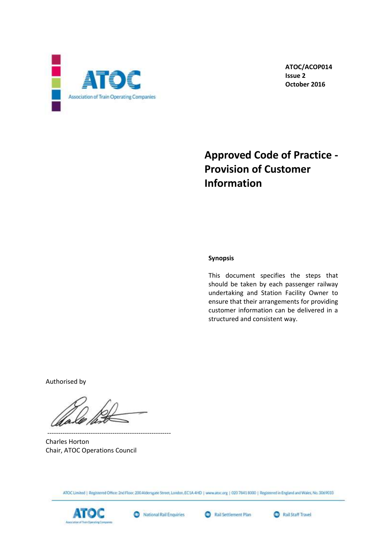

 **ATOC/ACOP014 Issue 2 October 2016**

# **Approved Code of Practice - Provision of Customer Information**

## **Synopsis**

This document specifies the steps that should be taken by each passenger railway undertaking and Station Facility Owner to ensure that their arrangements for providing customer information can be delivered in a structured and consistent way.

Authorised by

--------------------------------------------------------- Charles Horton Chair, ATOC Operations Council

ATOC Limited | Registered Office: 2nd Floor, 200 Alderspate Street, London, EC1A 4HD | www.atoc.org | 020 7841 BO00 | Registered in England and Wales, No. 3069033







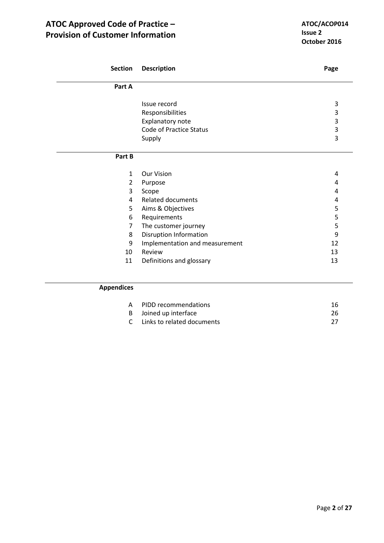| <b>Section</b>    | <b>Description</b>             | Page |
|-------------------|--------------------------------|------|
| Part A            |                                |      |
|                   | Issue record                   | 3    |
|                   |                                |      |
|                   | Responsibilities               | 3    |
|                   | Explanatory note               | 3    |
|                   | <b>Code of Practice Status</b> | 3    |
|                   | Supply                         | 3    |
| Part B            |                                |      |
| $\mathbf{1}$      | <b>Our Vision</b>              | 4    |
| $\overline{2}$    | Purpose                        | 4    |
| 3                 | Scope                          | 4    |
| 4                 | <b>Related documents</b>       | 4    |
| 5                 | Aims & Objectives              | 5    |
| 6                 | Requirements                   | 5    |
| 7                 | The customer journey           | 5    |
| 8                 | Disruption Information         | 9    |
| 9                 | Implementation and measurement | 12   |
| 10                | Review                         | 13   |
| 11                | Definitions and glossary       | 13   |
|                   |                                |      |
| <b>Appendices</b> |                                |      |

| A PIDD recommendations       | 16. |
|------------------------------|-----|
| B Joined up interface        | 26  |
| C Links to related documents | 27  |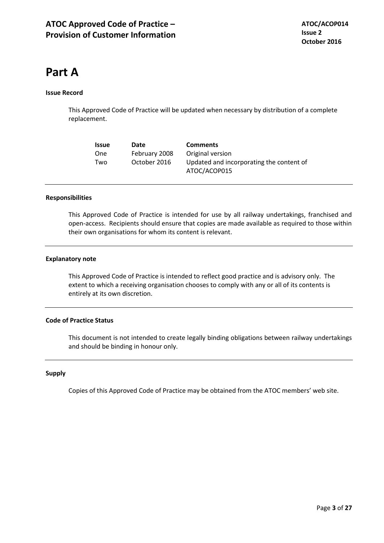# **Part A**

## **Issue Record**

This Approved Code of Practice will be updated when necessary by distribution of a complete replacement.

| <b>Issue</b> | Date          | <b>Comments</b>                                          |
|--------------|---------------|----------------------------------------------------------|
| One          | February 2008 | Original version                                         |
| Two          | October 2016  | Updated and incorporating the content of<br>ATOC/ACOP015 |

#### **Responsibilities**

This Approved Code of Practice is intended for use by all railway undertakings, franchised and open-access. Recipients should ensure that copies are made available as required to those within their own organisations for whom its content is relevant.

#### **Explanatory note**

This Approved Code of Practice is intended to reflect good practice and is advisory only. The extent to which a receiving organisation chooses to comply with any or all of its contents is entirely at its own discretion.

#### **Code of Practice Status**

This document is not intended to create legally binding obligations between railway undertakings and should be binding in honour only.

#### **Supply**

Copies of this Approved Code of Practice may be obtained from the ATOC members' web site.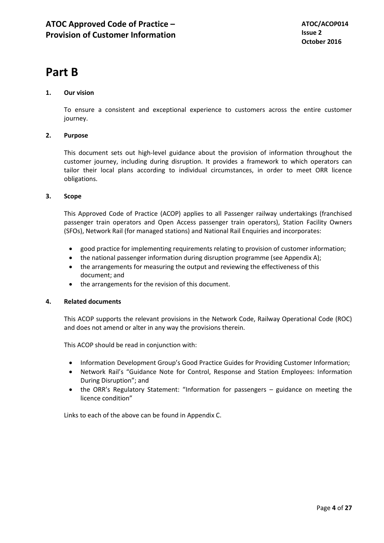# **Part B**

# **1. Our vision**

To ensure a consistent and exceptional experience to customers across the entire customer journey.

# **2. Purpose**

This document sets out high-level guidance about the provision of information throughout the customer journey, including during disruption. It provides a framework to which operators can tailor their local plans according to individual circumstances, in order to meet ORR licence obligations.

# **3. Scope**

This Approved Code of Practice (ACOP) applies to all Passenger railway undertakings (franchised passenger train operators and Open Access passenger train operators), Station Facility Owners (SFOs), Network Rail (for managed stations) and National Rail Enquiries and incorporates:

- good practice for implementing requirements relating to provision of customer information;
- the national passenger information during disruption programme (see Appendix A);
- the arrangements for measuring the output and reviewing the effectiveness of this document; and
- the arrangements for the revision of this document.

## **4. Related documents**

This ACOP supports the relevant provisions in the Network Code, Railway Operational Code (ROC) and does not amend or alter in any way the provisions therein.

This ACOP should be read in conjunction with:

- Information Development Group's Good Practice Guides for Providing Customer Information;
- Network Rail's "Guidance Note for Control, Response and Station Employees: Information During Disruption"; and
- the ORR's Regulatory Statement: "Information for passengers guidance on meeting the licence condition"

Links to each of the above can be found in Appendix C.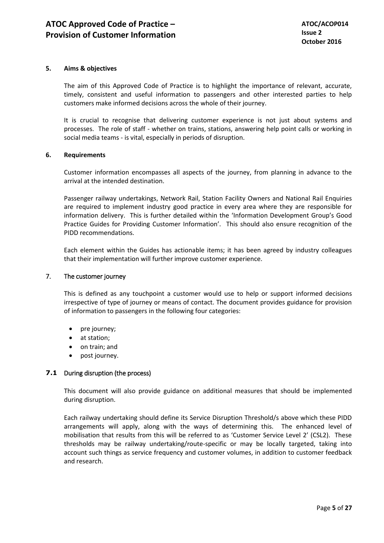# **5. Aims & objectives**

The aim of this Approved Code of Practice is to highlight the importance of relevant, accurate, timely, consistent and useful information to passengers and other interested parties to help customers make informed decisions across the whole of their journey.

It is crucial to recognise that delivering customer experience is not just about systems and processes. The role of staff - whether on trains, stations, answering help point calls or working in social media teams - is vital, especially in periods of disruption.

## **6. Requirements**

Customer information encompasses all aspects of the journey, from planning in advance to the arrival at the intended destination.

Passenger railway undertakings, Network Rail, Station Facility Owners and National Rail Enquiries are required to implement industry good practice in every area where they are responsible for information delivery. This is further detailed within the 'Information Development Group's Good Practice Guides for Providing Customer Information'. This should also ensure recognition of the PIDD recommendations.

Each element within the Guides has actionable items; it has been agreed by industry colleagues that their implementation will further improve customer experience.

## 7. The customer journey

This is defined as any touchpoint a customer would use to help or support informed decisions irrespective of type of journey or means of contact. The document provides guidance for provision of information to passengers in the following four categories:

- $\bullet$  pre journey;
- at station;
- on train; and
- post journey.

## **7.1** During disruption (the process)

This document will also provide guidance on additional measures that should be implemented during disruption.

Each railway undertaking should define its Service Disruption Threshold/s above which these PIDD arrangements will apply, along with the ways of determining this. The enhanced level of mobilisation that results from this will be referred to as 'Customer Service Level 2' (CSL2). These thresholds may be railway undertaking/route-specific or may be locally targeted, taking into account such things as service frequency and customer volumes, in addition to customer feedback and research.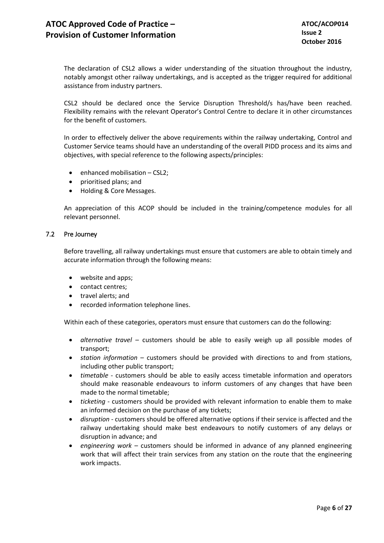The declaration of CSL2 allows a wider understanding of the situation throughout the industry, notably amongst other railway undertakings, and is accepted as the trigger required for additional assistance from industry partners.

CSL2 should be declared once the Service Disruption Threshold/s has/have been reached. Flexibility remains with the relevant Operator's Control Centre to declare it in other circumstances for the benefit of customers.

In order to effectively deliver the above requirements within the railway undertaking, Control and Customer Service teams should have an understanding of the overall PIDD process and its aims and objectives, with special reference to the following aspects/principles:

- enhanced mobilisation CSL2;
- prioritised plans; and
- Holding & Core Messages.

An appreciation of this ACOP should be included in the training/competence modules for all relevant personnel.

## 7.2 Pre Journey

Before travelling, all railway undertakings must ensure that customers are able to obtain timely and accurate information through the following means:

- website and apps;
- contact centres;
- travel alerts; and
- recorded information telephone lines.

Within each of these categories, operators must ensure that customers can do the following:

- *alternative travel* customers should be able to easily weigh up all possible modes of transport;
- *station information* customers should be provided with directions to and from stations, including other public transport;
- *timetable* customers should be able to easily access timetable information and operators should make reasonable endeavours to inform customers of any changes that have been made to the normal timetable;
- *ticketing* customers should be provided with relevant information to enable them to make an informed decision on the purchase of any tickets;
- *disruption* customers should be offered alternative options if their service is affected and the railway undertaking should make best endeavours to notify customers of any delays or disruption in advance; and
- *engineering work* customers should be informed in advance of any planned engineering work that will affect their train services from any station on the route that the engineering work impacts.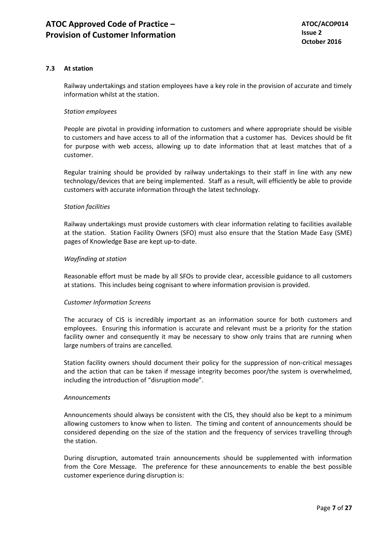# **7.3 At station**

Railway undertakings and station employees have a key role in the provision of accurate and timely information whilst at the station.

#### *Station employees*

People are pivotal in providing information to customers and where appropriate should be visible to customers and have access to all of the information that a customer has. Devices should be fit for purpose with web access, allowing up to date information that at least matches that of a customer.

Regular training should be provided by railway undertakings to their staff in line with any new technology/devices that are being implemented. Staff as a result, will efficiently be able to provide customers with accurate information through the latest technology.

# *Station facilities*

Railway undertakings must provide customers with clear information relating to facilities available at the station. Station Facility Owners (SFO) must also ensure that the Station Made Easy (SME) pages of Knowledge Base are kept up-to-date.

#### *Wayfinding at station*

Reasonable effort must be made by all SFOs to provide clear, accessible guidance to all customers at stations. This includes being cognisant to where information provision is provided.

## *Customer Information Screens*

The accuracy of CIS is incredibly important as an information source for both customers and employees. Ensuring this information is accurate and relevant must be a priority for the station facility owner and consequently it may be necessary to show only trains that are running when large numbers of trains are cancelled.

Station facility owners should document their policy for the suppression of non-critical messages and the action that can be taken if message integrity becomes poor/the system is overwhelmed, including the introduction of "disruption mode".

#### *Announcements*

Announcements should always be consistent with the CIS, they should also be kept to a minimum allowing customers to know when to listen. The timing and content of announcements should be considered depending on the size of the station and the frequency of services travelling through the station.

During disruption, automated train announcements should be supplemented with information from the Core Message. The preference for these announcements to enable the best possible customer experience during disruption is: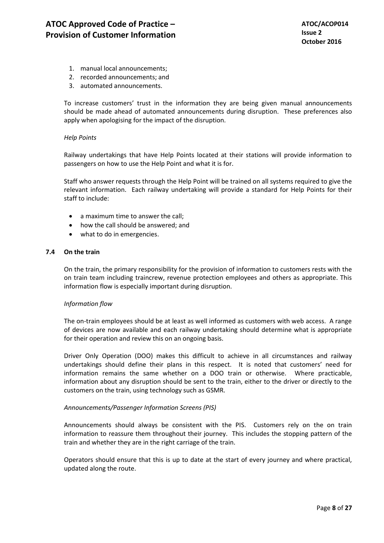- 1. manual local announcements;
- 2. recorded announcements; and
- 3. automated announcements.

To increase customers' trust in the information they are being given manual announcements should be made ahead of automated announcements during disruption. These preferences also apply when apologising for the impact of the disruption.

#### *Help Points*

Railway undertakings that have Help Points located at their stations will provide information to passengers on how to use the Help Point and what it is for.

Staff who answer requests through the Help Point will be trained on all systems required to give the relevant information. Each railway undertaking will provide a standard for Help Points for their staff to include:

- a maximum time to answer the call;
- how the call should be answered; and
- what to do in emergencies.

#### **7.4 On the train**

On the train, the primary responsibility for the provision of information to customers rests with the on train team including traincrew, revenue protection employees and others as appropriate. This information flow is especially important during disruption.

## *Information flow*

The on-train employees should be at least as well informed as customers with web access. A range of devices are now available and each railway undertaking should determine what is appropriate for their operation and review this on an ongoing basis.

Driver Only Operation (DOO) makes this difficult to achieve in all circumstances and railway undertakings should define their plans in this respect. It is noted that customers' need for information remains the same whether on a DOO train or otherwise. Where practicable, information about any disruption should be sent to the train, either to the driver or directly to the customers on the train, using technology such as GSMR.

## *Announcements/Passenger Information Screens (PIS)*

Announcements should always be consistent with the PIS. Customers rely on the on train information to reassure them throughout their journey. This includes the stopping pattern of the train and whether they are in the right carriage of the train.

Operators should ensure that this is up to date at the start of every journey and where practical, updated along the route.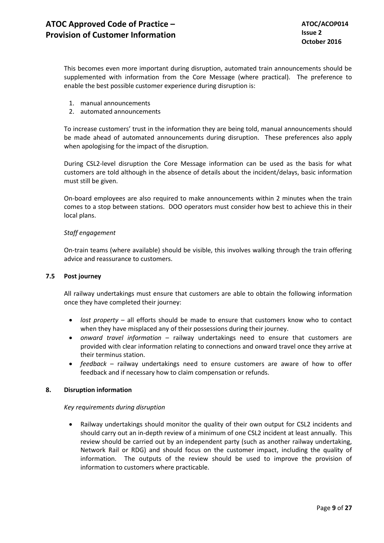This becomes even more important during disruption, automated train announcements should be supplemented with information from the Core Message (where practical). The preference to enable the best possible customer experience during disruption is:

- 1. manual announcements
- 2. automated announcements

To increase customers' trust in the information they are being told, manual announcements should be made ahead of automated announcements during disruption. These preferences also apply when apologising for the impact of the disruption.

During CSL2-level disruption the Core Message information can be used as the basis for what customers are told although in the absence of details about the incident/delays, basic information must still be given.

On-board employees are also required to make announcements within 2 minutes when the train comes to a stop between stations. DOO operators must consider how best to achieve this in their local plans.

## *Staff engagement*

On-train teams (where available) should be visible, this involves walking through the train offering advice and reassurance to customers.

## **7.5 Post journey**

All railway undertakings must ensure that customers are able to obtain the following information once they have completed their journey:

- *lost property* all efforts should be made to ensure that customers know who to contact when they have misplaced any of their possessions during their journey.
- *onward travel information* railway undertakings need to ensure that customers are provided with clear information relating to connections and onward travel once they arrive at their terminus station.
- *feedback* railway undertakings need to ensure customers are aware of how to offer feedback and if necessary how to claim compensation or refunds.

## **8. Disruption information**

## *Key requirements during disruption*

 Railway undertakings should monitor the quality of their own output for CSL2 incidents and should carry out an in-depth review of a minimum of one CSL2 incident at least annually. This review should be carried out by an independent party (such as another railway undertaking, Network Rail or RDG) and should focus on the customer impact, including the quality of information. The outputs of the review should be used to improve the provision of information to customers where practicable.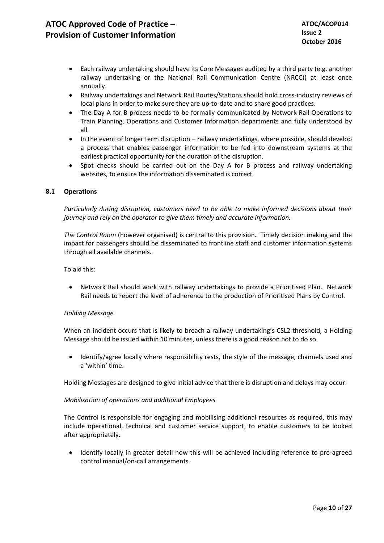- Each railway undertaking should have its Core Messages audited by a third party (e.g. another railway undertaking or the National Rail Communication Centre (NRCC)) at least once annually.
- Railway undertakings and Network Rail Routes/Stations should hold cross-industry reviews of local plans in order to make sure they are up-to-date and to share good practices.
- The Day A for B process needs to be formally communicated by Network Rail Operations to Train Planning, Operations and Customer Information departments and fully understood by all.
- In the event of longer term disruption railway undertakings, where possible, should develop a process that enables passenger information to be fed into downstream systems at the earliest practical opportunity for the duration of the disruption.
- Spot checks should be carried out on the Day A for B process and railway undertaking websites, to ensure the information disseminated is correct.

## **8.1 Operations**

*Particularly during disruption, customers need to be able to make informed decisions about their journey and rely on the operator to give them timely and accurate information.*

*The Control Room* (however organised) is central to this provision. Timely decision making and the impact for passengers should be disseminated to frontline staff and customer information systems through all available channels.

To aid this:

 Network Rail should work with railway undertakings to provide a Prioritised Plan. Network Rail needs to report the level of adherence to the production of Prioritised Plans by Control.

## *Holding Message*

When an incident occurs that is likely to breach a railway undertaking's CSL2 threshold, a Holding Message should be issued within 10 minutes, unless there is a good reason not to do so.

 Identify/agree locally where responsibility rests, the style of the message, channels used and a 'within' time.

Holding Messages are designed to give initial advice that there is disruption and delays may occur.

## *Mobilisation of operations and additional Employees*

The Control is responsible for engaging and mobilising additional resources as required, this may include operational, technical and customer service support, to enable customers to be looked after appropriately.

 Identify locally in greater detail how this will be achieved including reference to pre-agreed control manual/on-call arrangements.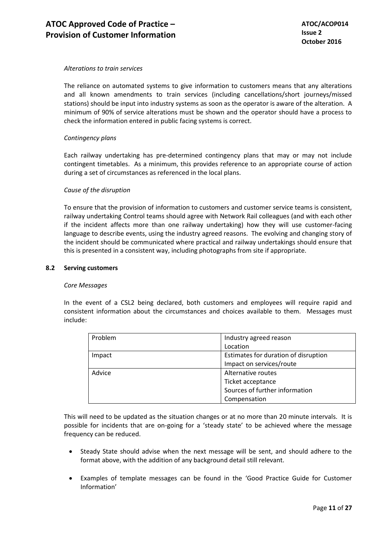#### *Alterations to train services*

The reliance on automated systems to give information to customers means that any alterations and all known amendments to train services (including cancellations/short journeys/missed stations) should be input into industry systems as soon as the operator is aware of the alteration. A minimum of 90% of service alterations must be shown and the operator should have a process to check the information entered in public facing systems is correct.

#### *Contingency plans*

Each railway undertaking has pre-determined contingency plans that may or may not include contingent timetables. As a minimum, this provides reference to an appropriate course of action during a set of circumstances as referenced in the local plans.

#### *Cause of the disruption*

To ensure that the provision of information to customers and customer service teams is consistent, railway undertaking Control teams should agree with Network Rail colleagues (and with each other if the incident affects more than one railway undertaking) how they will use customer-facing language to describe events, using the industry agreed reasons. The evolving and changing story of the incident should be communicated where practical and railway undertakings should ensure that this is presented in a consistent way, including photographs from site if appropriate.

#### **8.2 Serving customers**

#### *Core Messages*

In the event of a CSL2 being declared, both customers and employees will require rapid and consistent information about the circumstances and choices available to them. Messages must include:

| Problem | Industry agreed reason               |
|---------|--------------------------------------|
|         | Location                             |
| Impact  | Estimates for duration of disruption |
|         | Impact on services/route             |
| Advice  | Alternative routes                   |
|         | Ticket acceptance                    |
|         | Sources of further information       |
|         | Compensation                         |

This will need to be updated as the situation changes or at no more than 20 minute intervals. It is possible for incidents that are on-going for a 'steady state' to be achieved where the message frequency can be reduced.

- Steady State should advise when the next message will be sent, and should adhere to the format above, with the addition of any background detail still relevant.
- Examples of template messages can be found in the 'Good Practice Guide for Customer Information'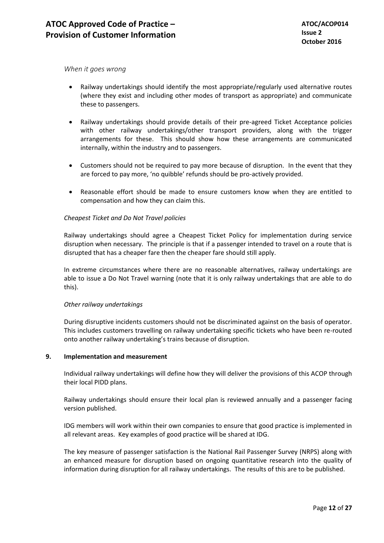*When it goes wrong* 

- Railway undertakings should identify the most appropriate/regularly used alternative routes (where they exist and including other modes of transport as appropriate) and communicate these to passengers.
- Railway undertakings should provide details of their pre-agreed Ticket Acceptance policies with other railway undertakings/other transport providers, along with the trigger arrangements for these. This should show how these arrangements are communicated internally, within the industry and to passengers.
- Customers should not be required to pay more because of disruption. In the event that they are forced to pay more, 'no quibble' refunds should be pro-actively provided.
- Reasonable effort should be made to ensure customers know when they are entitled to compensation and how they can claim this.

## *Cheapest Ticket and Do Not Travel policies*

Railway undertakings should agree a Cheapest Ticket Policy for implementation during service disruption when necessary. The principle is that if a passenger intended to travel on a route that is disrupted that has a cheaper fare then the cheaper fare should still apply.

In extreme circumstances where there are no reasonable alternatives, railway undertakings are able to issue a Do Not Travel warning (note that it is only railway undertakings that are able to do this).

## *Other railway undertakings*

During disruptive incidents customers should not be discriminated against on the basis of operator. This includes customers travelling on railway undertaking specific tickets who have been re-routed onto another railway undertaking's trains because of disruption.

#### **9. Implementation and measurement**

Individual railway undertakings will define how they will deliver the provisions of this ACOP through their local PIDD plans.

Railway undertakings should ensure their local plan is reviewed annually and a passenger facing version published.

IDG members will work within their own companies to ensure that good practice is implemented in all relevant areas. Key examples of good practice will be shared at IDG.

The key measure of passenger satisfaction is the National Rail Passenger Survey (NRPS) along with an enhanced measure for disruption based on ongoing quantitative research into the quality of information during disruption for all railway undertakings. The results of this are to be published.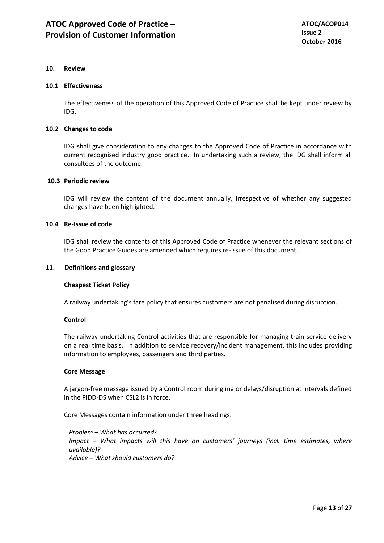#### **10. Review**

#### **10.1 Effectiveness**

The effectiveness of the operation of this Approved Code of Practice shall be kept under review by IDG.

# **10.2 Changes to code**

IDG shall give consideration to any changes to the Approved Code of Practice in accordance with current recognised industry good practice. In undertaking such a review, the IDG shall inform all consultees of the outcome.

#### **10.3 Periodic review**

IDG will review the content of the document annually, irrespective of whether any suggested changes have been highlighted.

#### **10.4 Re-Issue of code**

IDG shall review the contents of this Approved Code of Practice whenever the relevant sections of the Good Practice Guides are amended which requires re-issue of this document.

#### **11. Definitions and glossary**

## **Cheapest Ticket Policy**

A railway undertaking's fare policy that ensures customers are not penalised during disruption.

#### **Control**

The railway undertaking Control activities that are responsible for managing train service delivery on a real time basis. In addition to service recovery/incident management, this includes providing information to employees, passengers and third parties.

#### **Core Message**

A jargon-free message issued by a Control room during major delays/disruption at intervals defined in the PIDD-DS when CSL2 is in force.

Core Messages contain information under three headings:

*Problem – What has occurred? Impact – What impacts will this have on customers' journeys (incl. time estimates, where available)? Advice – What should customers do?*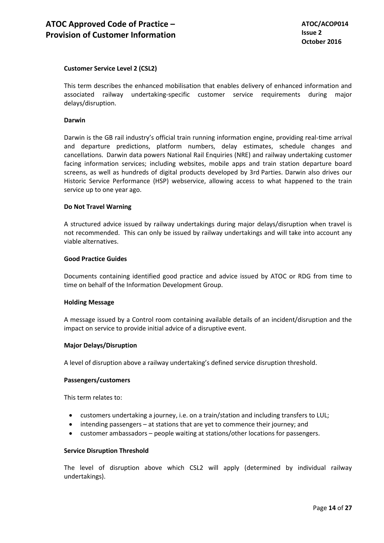# **Customer Service Level 2 (CSL2)**

This term describes the enhanced mobilisation that enables delivery of enhanced information and associated railway undertaking-specific customer service requirements during major delays/disruption.

#### **Darwin**

Darwin is the GB rail industry's official train running information engine, providing real-time arrival and departure predictions, platform numbers, delay estimates, schedule changes and cancellations. Darwin data powers National Rail Enquiries (NRE) and railway undertaking customer facing information services; including websites, mobile apps and train station departure board screens, as well as hundreds of digital products developed by 3rd Parties. Darwin also drives our Historic Service Performance (HSP) webservice, allowing access to what happened to the train service up to one year ago.

#### **Do Not Travel Warning**

A structured advice issued by railway undertakings during major delays/disruption when travel is not recommended. This can only be issued by railway undertakings and will take into account any viable alternatives.

#### **Good Practice Guides**

Documents containing identified good practice and advice issued by ATOC or RDG from time to time on behalf of the Information Development Group.

#### **Holding Message**

A message issued by a Control room containing available details of an incident/disruption and the impact on service to provide initial advice of a disruptive event.

#### **Major Delays/Disruption**

A level of disruption above a railway undertaking's defined service disruption threshold.

#### **Passengers/customers**

This term relates to:

- customers undertaking a journey, i.e. on a train/station and including transfers to LUL;
- intending passengers at stations that are yet to commence their journey; and
- customer ambassadors people waiting at stations/other locations for passengers.

#### **Service Disruption Threshold**

The level of disruption above which CSL2 will apply (determined by individual railway undertakings).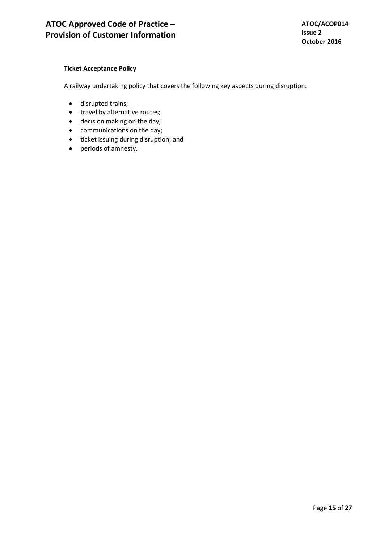# **Ticket Acceptance Policy**

A railway undertaking policy that covers the following key aspects during disruption:

- disrupted trains;
- travel by alternative routes;
- decision making on the day;
- communications on the day;
- ticket issuing during disruption; and
- periods of amnesty.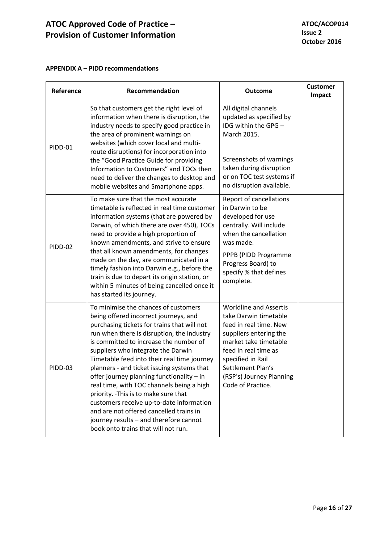# **APPENDIX A – PIDD recommendations**

| Reference      | Recommendation                                                                                                                                                                                                                                                                                                                                                                                                                                                                                                                                                                                                                                                   | <b>Outcome</b>                                                                                                                                                                                                                                         | <b>Customer</b><br>Impact |
|----------------|------------------------------------------------------------------------------------------------------------------------------------------------------------------------------------------------------------------------------------------------------------------------------------------------------------------------------------------------------------------------------------------------------------------------------------------------------------------------------------------------------------------------------------------------------------------------------------------------------------------------------------------------------------------|--------------------------------------------------------------------------------------------------------------------------------------------------------------------------------------------------------------------------------------------------------|---------------------------|
| PIDD-01        | So that customers get the right level of<br>information when there is disruption, the<br>industry needs to specify good practice in<br>the area of prominent warnings on<br>websites (which cover local and multi-<br>route disruptions) for incorporation into<br>the "Good Practice Guide for providing<br>Information to Customers" and TOCs then<br>need to deliver the changes to desktop and<br>mobile websites and Smartphone apps.                                                                                                                                                                                                                       | All digital channels<br>updated as specified by<br>IDG within the GPG -<br>March 2015.<br>Screenshots of warnings<br>taken during disruption<br>or on TOC test systems if<br>no disruption available.                                                  |                           |
| <b>PIDD-02</b> | To make sure that the most accurate<br>timetable is reflected in real time customer<br>information systems (that are powered by<br>Darwin, of which there are over 450), TOCs<br>need to provide a high proportion of<br>known amendments, and strive to ensure<br>that all known amendments, for changes<br>made on the day, are communicated in a<br>timely fashion into Darwin e.g., before the<br>train is due to depart its origin station, or<br>within 5 minutes of being cancelled once it<br>has started its journey.                                                                                                                                   | Report of cancellations<br>in Darwin to be<br>developed for use<br>centrally. Will include<br>when the cancellation<br>was made.<br>PPPB (PIDD Programme<br>Progress Board) to<br>specify % that defines<br>complete.                                  |                           |
| PIDD-03        | To minimise the chances of customers<br>being offered incorrect journeys, and<br>purchasing tickets for trains that will not<br>run when there is disruption, the industry<br>is committed to increase the number of<br>suppliers who integrate the Darwin<br>Timetable feed into their real time journey<br>planners - and ticket issuing systems that<br>offer journey planning functionality - in<br>real time, with TOC channels being a high<br>priority. This is to make sure that<br>customers receive up-to-date information<br>and are not offered cancelled trains in<br>journey results - and therefore cannot<br>book onto trains that will not run. | <b>Worldline and Assertis</b><br>take Darwin timetable<br>feed in real time. New<br>suppliers entering the<br>market take timetable<br>feed in real time as<br>specified in Rail<br>Settlement Plan's<br>(RSP's) Journey Planning<br>Code of Practice. |                           |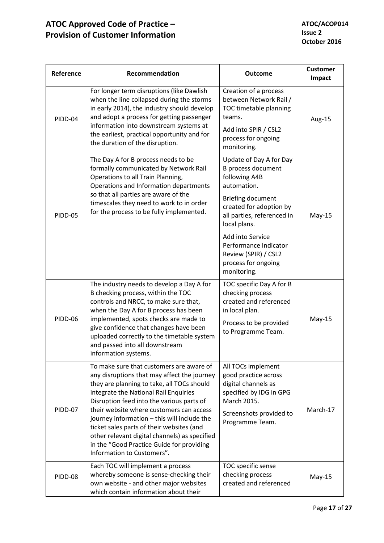| Reference      | Recommendation                                                                                                                                                                                                                                                                                                                                                                                                                                                                                  | <b>Outcome</b>                                                                                                                                                                                                                                                                                       | <b>Customer</b><br>Impact |
|----------------|-------------------------------------------------------------------------------------------------------------------------------------------------------------------------------------------------------------------------------------------------------------------------------------------------------------------------------------------------------------------------------------------------------------------------------------------------------------------------------------------------|------------------------------------------------------------------------------------------------------------------------------------------------------------------------------------------------------------------------------------------------------------------------------------------------------|---------------------------|
| PIDD-04        | For longer term disruptions (like Dawlish<br>when the line collapsed during the storms<br>in early 2014), the industry should develop<br>and adopt a process for getting passenger<br>information into downstream systems at<br>the earliest, practical opportunity and for<br>the duration of the disruption.                                                                                                                                                                                  | Creation of a process<br>between Network Rail /<br>TOC timetable planning<br>teams.<br>Add into SPIR / CSL2<br>process for ongoing<br>monitoring.                                                                                                                                                    | Aug-15                    |
| <b>PIDD-05</b> | The Day A for B process needs to be<br>formally communicated by Network Rail<br>Operations to all Train Planning,<br>Operations and Information departments<br>so that all parties are aware of the<br>timescales they need to work to in order<br>for the process to be fully implemented.                                                                                                                                                                                                     | Update of Day A for Day<br><b>B</b> process document<br>following A4B<br>automation.<br><b>Briefing document</b><br>created for adoption by<br>all parties, referenced in<br>local plans.<br>Add into Service<br>Performance Indicator<br>Review (SPIR) / CSL2<br>process for ongoing<br>monitoring. | $May-15$                  |
| PIDD-06        | The industry needs to develop a Day A for<br>B checking process, within the TOC<br>controls and NRCC, to make sure that,<br>when the Day A for B process has been<br>implemented, spots checks are made to<br>give confidence that changes have been<br>uploaded correctly to the timetable system<br>and passed into all downstream<br>information systems.                                                                                                                                    | TOC specific Day A for B<br>checking process<br>created and referenced<br>in local plan.<br>Process to be provided<br>to Programme Team.                                                                                                                                                             | $May-15$                  |
| PIDD-07        | To make sure that customers are aware of<br>any disruptions that may affect the journey<br>they are planning to take, all TOCs should<br>integrate the National Rail Enquiries<br>Disruption feed into the various parts of<br>their website where customers can access<br>journey information - this will include the<br>ticket sales parts of their websites (and<br>other relevant digital channels) as specified<br>in the "Good Practice Guide for providing<br>Information to Customers". | All TOCs implement<br>good practice across<br>digital channels as<br>specified by IDG in GPG<br>March 2015.<br>Screenshots provided to<br>Programme Team.                                                                                                                                            | March-17                  |
| PIDD-08        | Each TOC will implement a process<br>whereby someone is sense-checking their<br>own website - and other major websites<br>which contain information about their                                                                                                                                                                                                                                                                                                                                 | TOC specific sense<br>checking process<br>created and referenced                                                                                                                                                                                                                                     | $May-15$                  |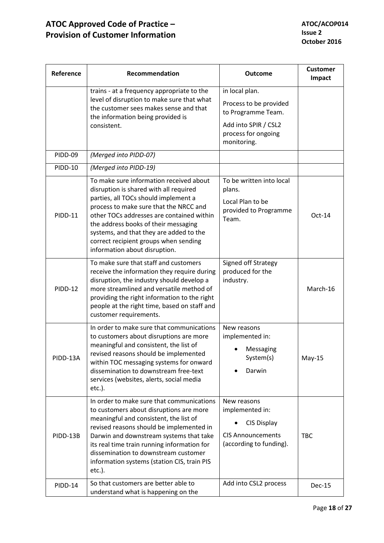| Reference      | Recommendation                                                                                                                                                                                                                                                                                                                                                                | <b>Outcome</b>                                                                                                               | <b>Customer</b><br>Impact |
|----------------|-------------------------------------------------------------------------------------------------------------------------------------------------------------------------------------------------------------------------------------------------------------------------------------------------------------------------------------------------------------------------------|------------------------------------------------------------------------------------------------------------------------------|---------------------------|
|                | trains - at a frequency appropriate to the<br>level of disruption to make sure that what<br>the customer sees makes sense and that<br>the information being provided is<br>consistent.                                                                                                                                                                                        | in local plan.<br>Process to be provided<br>to Programme Team.<br>Add into SPIR / CSL2<br>process for ongoing<br>monitoring. |                           |
| PIDD-09        | (Merged into PIDD-07)                                                                                                                                                                                                                                                                                                                                                         |                                                                                                                              |                           |
| <b>PIDD-10</b> | (Merged into PIDD-19)                                                                                                                                                                                                                                                                                                                                                         |                                                                                                                              |                           |
| <b>PIDD-11</b> | To make sure information received about<br>disruption is shared with all required<br>parties, all TOCs should implement a<br>process to make sure that the NRCC and<br>other TOCs addresses are contained within<br>the address books of their messaging<br>systems, and that they are added to the<br>correct recipient groups when sending<br>information about disruption. | To be written into local<br>plans.<br>Local Plan to be<br>provided to Programme<br>Team.                                     | $Oct-14$                  |
| <b>PIDD-12</b> | To make sure that staff and customers<br>receive the information they require during<br>disruption, the industry should develop a<br>more streamlined and versatile method of<br>providing the right information to the right<br>people at the right time, based on staff and<br>customer requirements.                                                                       | Signed off Strategy<br>produced for the<br>industry.                                                                         | March-16                  |
| PIDD-13A       | In order to make sure that communications<br>to customers about disruptions are more<br>meaningful and consistent, the list of<br>revised reasons should be implemented<br>within TOC messaging systems for onward<br>dissemination to downstream free-text<br>services (websites, alerts, social media<br>$etc.$ ).                                                          | New reasons<br>implemented in:<br>Messaging<br>System(s)<br>Darwin                                                           | $May-15$                  |
| PIDD-13B       | In order to make sure that communications<br>to customers about disruptions are more<br>meaningful and consistent, the list of<br>revised reasons should be implemented in<br>Darwin and downstream systems that take<br>its real time train running information for<br>dissemination to downstream customer<br>information systems (station CIS, train PIS<br>$etc.$ ).      | New reasons<br>implemented in:<br>CIS Display<br><b>CIS Announcements</b><br>(according to funding).                         | TBC                       |
| PIDD-14        | So that customers are better able to<br>understand what is happening on the                                                                                                                                                                                                                                                                                                   | Add into CSL2 process                                                                                                        | Dec-15                    |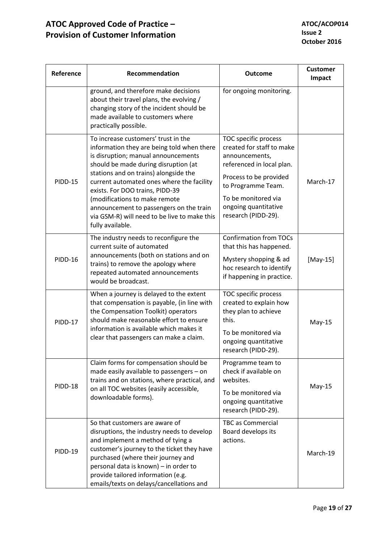| Reference      | Recommendation                                                                                                                                                                                                                                                                                                                                                                                                                            | <b>Outcome</b>                                                                                                                                                                                                         | <b>Customer</b><br>Impact |
|----------------|-------------------------------------------------------------------------------------------------------------------------------------------------------------------------------------------------------------------------------------------------------------------------------------------------------------------------------------------------------------------------------------------------------------------------------------------|------------------------------------------------------------------------------------------------------------------------------------------------------------------------------------------------------------------------|---------------------------|
|                | ground, and therefore make decisions<br>about their travel plans, the evolving /<br>changing story of the incident should be<br>made available to customers where<br>practically possible.                                                                                                                                                                                                                                                | for ongoing monitoring.                                                                                                                                                                                                |                           |
| <b>PIDD-15</b> | To increase customers' trust in the<br>information they are being told when there<br>is disruption; manual announcements<br>should be made during disruption (at<br>stations and on trains) alongside the<br>current automated ones where the facility<br>exists. For DOO trains, PIDD-39<br>(modifications to make remote<br>announcement to passengers on the train<br>via GSM-R) will need to be live to make this<br>fully available. | TOC specific process<br>created for staff to make<br>announcements,<br>referenced in local plan.<br>Process to be provided<br>to Programme Team.<br>To be monitored via<br>ongoing quantitative<br>research (PIDD-29). | March-17                  |
| <b>PIDD-16</b> | The industry needs to reconfigure the<br>current suite of automated<br>announcements (both on stations and on<br>trains) to remove the apology where<br>repeated automated announcements<br>would be broadcast.                                                                                                                                                                                                                           | <b>Confirmation from TOCs</b><br>that this has happened.<br>Mystery shopping & ad<br>hoc research to identify<br>if happening in practice.                                                                             | $[May-15]$                |
| <b>PIDD-17</b> | When a journey is delayed to the extent<br>that compensation is payable, (in line with<br>the Compensation Toolkit) operators<br>should make reasonable effort to ensure<br>information is available which makes it<br>clear that passengers can make a claim.                                                                                                                                                                            | TOC specific process<br>created to explain how<br>they plan to achieve<br>this.<br>To be monitored via<br>ongoing quantitative<br>research (PIDD-29).                                                                  | $May-15$                  |
| PIDD-18        | Claim forms for compensation should be<br>made easily available to passengers - on<br>trains and on stations, where practical, and<br>on all TOC websites (easily accessible,<br>downloadable forms).                                                                                                                                                                                                                                     | Programme team to<br>check if available on<br>websites.<br>To be monitored via<br>ongoing quantitative<br>research (PIDD-29).                                                                                          | $May-15$                  |
| <b>PIDD-19</b> | So that customers are aware of<br>disruptions, the industry needs to develop<br>and implement a method of tying a<br>customer's journey to the ticket they have<br>purchased (where their journey and<br>personal data is known) - in order to<br>provide tailored information (e.g.<br>emails/texts on delays/cancellations and                                                                                                          | <b>TBC as Commercial</b><br>Board develops its<br>actions.                                                                                                                                                             | March-19                  |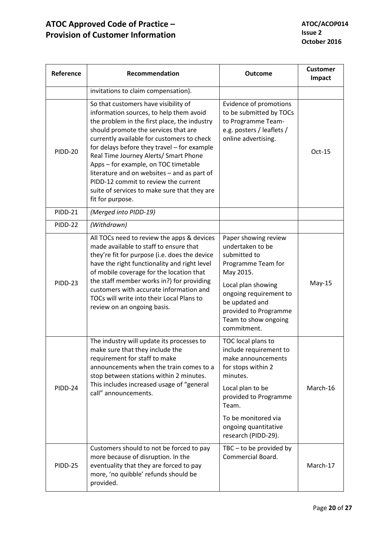| Reference      | Recommendation                                                                                                                                                                                                                                                                                                                                                                                                                                                                                                   | <b>Outcome</b>                                                                                                                                                                                                                   | <b>Customer</b><br>Impact |
|----------------|------------------------------------------------------------------------------------------------------------------------------------------------------------------------------------------------------------------------------------------------------------------------------------------------------------------------------------------------------------------------------------------------------------------------------------------------------------------------------------------------------------------|----------------------------------------------------------------------------------------------------------------------------------------------------------------------------------------------------------------------------------|---------------------------|
|                | invitations to claim compensation).                                                                                                                                                                                                                                                                                                                                                                                                                                                                              |                                                                                                                                                                                                                                  |                           |
| <b>PIDD-20</b> | So that customers have visibility of<br>information sources, to help them avoid<br>the problem in the first place, the industry<br>should promote the services that are<br>currently available for customers to check<br>for delays before they travel - for example<br>Real Time Journey Alerts/ Smart Phone<br>Apps - for example, on TOC timetable<br>literature and on websites - and as part of<br>PIDD-12 commit to review the current<br>suite of services to make sure that they are<br>fit for purpose. | Evidence of promotions<br>to be submitted by TOCs<br>to Programme Team-<br>e.g. posters / leaflets /<br>online advertising.                                                                                                      | $Oct-15$                  |
| <b>PIDD-21</b> | (Merged into PIDD-19)                                                                                                                                                                                                                                                                                                                                                                                                                                                                                            |                                                                                                                                                                                                                                  |                           |
| <b>PIDD-22</b> | (Withdrawn)                                                                                                                                                                                                                                                                                                                                                                                                                                                                                                      |                                                                                                                                                                                                                                  |                           |
| PIDD-23        | All TOCs need to review the apps & devices<br>made available to staff to ensure that<br>they're fit for purpose (i.e. does the device<br>have the right functionality and right level<br>of mobile coverage for the location that<br>the staff member works in?) for providing<br>customers with accurate information and<br>TOCs will write into their Local Plans to<br>review on an ongoing basis.                                                                                                            | Paper showing review<br>undertaken to be<br>submitted to<br>Programme Team for<br>May 2015.<br>Local plan showing<br>ongoing requirement to<br>be updated and<br>provided to Programme<br>Team to show ongoing<br>commitment.    | $May-15$                  |
| PIDD-24        | The industry will update its processes to<br>make sure that they include the<br>requirement for staff to make<br>announcements when the train comes to a<br>stop between stations within 2 minutes.<br>This includes increased usage of "general<br>call" announcements.                                                                                                                                                                                                                                         | TOC local plans to<br>include requirement to<br>make announcements<br>for stops within 2<br>minutes.<br>Local plan to be<br>provided to Programme<br>Team.<br>To be monitored via<br>ongoing quantitative<br>research (PIDD-29). | March-16                  |
| <b>PIDD-25</b> | Customers should to not be forced to pay<br>more because of disruption. In the<br>eventuality that they are forced to pay<br>more, 'no quibble' refunds should be<br>provided.                                                                                                                                                                                                                                                                                                                                   | $TBC - to be provided by$<br>Commercial Board.                                                                                                                                                                                   | March-17                  |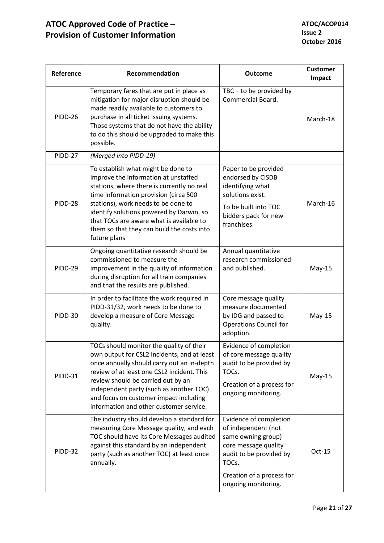| Reference      | Recommendation                                                                                                                                                                                                                                                                                                                                                 | <b>Outcome</b>                                                                                                                                                                      | <b>Customer</b><br>Impact |
|----------------|----------------------------------------------------------------------------------------------------------------------------------------------------------------------------------------------------------------------------------------------------------------------------------------------------------------------------------------------------------------|-------------------------------------------------------------------------------------------------------------------------------------------------------------------------------------|---------------------------|
| PIDD-26        | Temporary fares that are put in place as<br>mitigation for major disruption should be<br>made readily available to customers to<br>purchase in all ticket issuing systems.<br>Those systems that do not have the ability<br>to do this should be upgraded to make this<br>possible.                                                                            | $TBC - to be provided by$<br>Commercial Board.                                                                                                                                      | March-18                  |
| PIDD-27        | (Merged into PIDD-19)                                                                                                                                                                                                                                                                                                                                          |                                                                                                                                                                                     |                           |
| PIDD-28        | To establish what might be done to<br>improve the information at unstaffed<br>stations, where there is currently no real<br>time information provision (circa 500<br>stations), work needs to be done to<br>identify solutions powered by Darwin, so<br>that TOCs are aware what is available to<br>them so that they can build the costs into<br>future plans | Paper to be provided<br>endorsed by CISDB<br>identifying what<br>solutions exist.<br>To be built into TOC<br>bidders pack for new<br>franchises.                                    | March-16                  |
| PIDD-29        | Ongoing quantitative research should be<br>commissioned to measure the<br>improvement in the quality of information<br>during disruption for all train companies<br>and that the results are published.                                                                                                                                                        | Annual quantitative<br>research commissioned<br>and published.                                                                                                                      | $May-15$                  |
| <b>PIDD-30</b> | In order to facilitate the work required in<br>PIDD-31/32, work needs to be done to<br>develop a measure of Core Message<br>quality.                                                                                                                                                                                                                           | Core message quality<br>measure documented<br>by IDG and passed to<br><b>Operations Council for</b><br>adoption.                                                                    | $May-15$                  |
| PIDD-31        | TOCs should monitor the quality of their<br>own output for CSL2 incidents, and at least<br>once annually should carry out an in-depth<br>review of at least one CSL2 incident. This<br>review should be carried out by an<br>independent party (such as another TOC)<br>and focus on customer impact including<br>information and other customer service.      | Evidence of completion<br>of core message quality<br>audit to be provided by<br>TOCs.<br>Creation of a process for<br>ongoing monitoring.                                           | $May-15$                  |
| PIDD-32        | The industry should develop a standard for<br>measuring Core Message quality, and each<br>TOC should have its Core Messages audited<br>against this standard by an independent<br>party (such as another TOC) at least once<br>annually.                                                                                                                       | Evidence of completion<br>of independent (not<br>same owning group)<br>core message quality<br>audit to be provided by<br>TOCs.<br>Creation of a process for<br>ongoing monitoring. | Oct-15                    |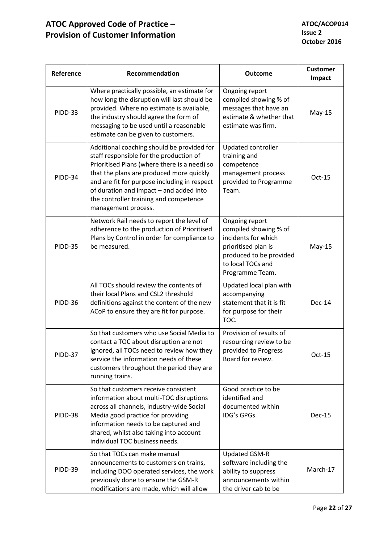| Reference      | Recommendation                                                                                                                                                                                                                                                                                                                                | <b>Outcome</b>                                                                                                                                           | <b>Customer</b><br>Impact |
|----------------|-----------------------------------------------------------------------------------------------------------------------------------------------------------------------------------------------------------------------------------------------------------------------------------------------------------------------------------------------|----------------------------------------------------------------------------------------------------------------------------------------------------------|---------------------------|
| PIDD-33        | Where practically possible, an estimate for<br>how long the disruption will last should be<br>provided. Where no estimate is available,<br>the industry should agree the form of<br>messaging to be used until a reasonable<br>estimate can be given to customers.                                                                            | Ongoing report<br>compiled showing % of<br>messages that have an<br>estimate & whether that<br>estimate was firm.                                        | $May-15$                  |
| PIDD-34        | Additional coaching should be provided for<br>staff responsible for the production of<br>Prioritised Plans (where there is a need) so<br>that the plans are produced more quickly<br>and are fit for purpose including in respect<br>of duration and impact - and added into<br>the controller training and competence<br>management process. | Updated controller<br>training and<br>competence<br>management process<br>provided to Programme<br>Team.                                                 | $Oct-15$                  |
| <b>PIDD-35</b> | Network Rail needs to report the level of<br>adherence to the production of Prioritised<br>Plans by Control in order for compliance to<br>be measured.                                                                                                                                                                                        | Ongoing report<br>compiled showing % of<br>incidents for which<br>prioritised plan is<br>produced to be provided<br>to local TOCs and<br>Programme Team. | $May-15$                  |
| PIDD-36        | All TOCs should review the contents of<br>their local Plans and CSL2 threshold<br>definitions against the content of the new<br>ACoP to ensure they are fit for purpose.                                                                                                                                                                      | Updated local plan with<br>accompanying<br>statement that it is fit<br>for purpose for their<br>TOC.                                                     | Dec-14                    |
| PIDD-37        | So that customers who use Social Media to<br>contact a TOC about disruption are not<br>ignored, all TOCs need to review how they<br>service the information needs of these<br>customers throughout the period they are<br>running trains.                                                                                                     | Provision of results of<br>resourcing review to be<br>provided to Progress<br>Board for review.                                                          | Oct-15                    |
| PIDD-38        | So that customers receive consistent<br>information about multi-TOC disruptions<br>across all channels, industry-wide Social<br>Media good practice for providing<br>information needs to be captured and<br>shared, whilst also taking into account<br>individual TOC business needs.                                                        | Good practice to be<br>identified and<br>documented within<br>IDG's GPGs.                                                                                | Dec-15                    |
| PIDD-39        | So that TOCs can make manual<br>announcements to customers on trains,<br>including DOO operated services, the work<br>previously done to ensure the GSM-R<br>modifications are made, which will allow                                                                                                                                         | Updated GSM-R<br>software including the<br>ability to suppress<br>announcements within<br>the driver cab to be                                           | March-17                  |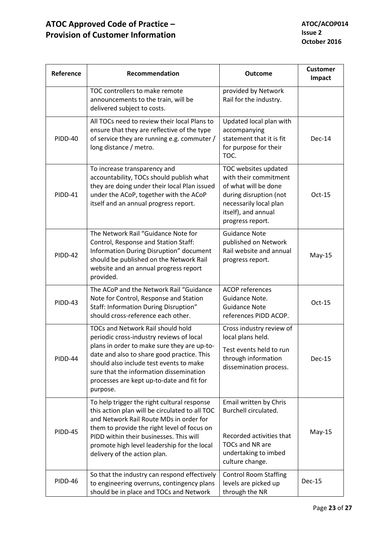| Reference | Recommendation                                                                                                                                                                                                                                                                                                                   | <b>Outcome</b>                                                                                                                                                       | <b>Customer</b><br>Impact |
|-----------|----------------------------------------------------------------------------------------------------------------------------------------------------------------------------------------------------------------------------------------------------------------------------------------------------------------------------------|----------------------------------------------------------------------------------------------------------------------------------------------------------------------|---------------------------|
|           | TOC controllers to make remote<br>announcements to the train, will be<br>delivered subject to costs.                                                                                                                                                                                                                             | provided by Network<br>Rail for the industry.                                                                                                                        |                           |
| PIDD-40   | All TOCs need to review their local Plans to<br>ensure that they are reflective of the type<br>of service they are running e.g. commuter /<br>long distance / metro.                                                                                                                                                             | Updated local plan with<br>accompanying<br>statement that it is fit<br>for purpose for their<br>TOC.                                                                 | Dec-14                    |
| PIDD-41   | To increase transparency and<br>accountability, TOCs should publish what<br>they are doing under their local Plan issued<br>under the ACoP, together with the ACoP<br>itself and an annual progress report.                                                                                                                      | TOC websites updated<br>with their commitment<br>of what will be done<br>during disruption (not<br>necessarily local plan<br>itself), and annual<br>progress report. | $Oct-15$                  |
| PIDD-42   | The Network Rail "Guidance Note for<br>Control, Response and Station Staff:<br>Information During Disruption" document<br>should be published on the Network Rail<br>website and an annual progress report<br>provided.                                                                                                          | <b>Guidance Note</b><br>published on Network<br>Rail website and annual<br>progress report.                                                                          | $May-15$                  |
| PIDD-43   | The ACoP and the Network Rail "Guidance<br>Note for Control, Response and Station<br>Staff: Information During Disruption"<br>should cross-reference each other.                                                                                                                                                                 | <b>ACOP</b> references<br>Guidance Note.<br><b>Guidance Note</b><br>references PIDD ACOP.                                                                            | $Oct-15$                  |
| PIDD-44   | <b>TOCs and Network Rail should hold</b><br>periodic cross-industry reviews of local<br>plans in order to make sure they are up-to-<br>date and also to share good practice. This<br>should also include test events to make<br>sure that the information dissemination<br>processes are kept up-to-date and fit for<br>purpose. | Cross industry review of<br>local plans held.<br>Test events held to run<br>through information<br>dissemination process.                                            | Dec-15                    |
| PIDD-45   | To help trigger the right cultural response<br>this action plan will be circulated to all TOC<br>and Network Rail Route MDs in order for<br>them to provide the right level of focus on<br>PIDD within their businesses. This will<br>promote high level leadership for the local<br>delivery of the action plan.                | Email written by Chris<br>Burchell circulated.<br>Recorded activities that<br><b>TOCs and NR are</b><br>undertaking to imbed<br>culture change.                      | $May-15$                  |
| PIDD-46   | So that the industry can respond effectively<br>to engineering overruns, contingency plans<br>should be in place and TOCs and Network                                                                                                                                                                                            | <b>Control Room Staffing</b><br>levels are picked up<br>through the NR                                                                                               | Dec-15                    |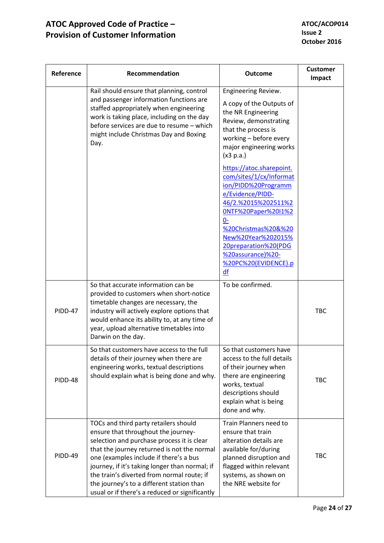| Reference | Recommendation                                                                                                                                                                                                                                                                                                                                                                                                     | <b>Outcome</b>                                                                                                                                                                                                                                                               | <b>Customer</b><br>Impact |
|-----------|--------------------------------------------------------------------------------------------------------------------------------------------------------------------------------------------------------------------------------------------------------------------------------------------------------------------------------------------------------------------------------------------------------------------|------------------------------------------------------------------------------------------------------------------------------------------------------------------------------------------------------------------------------------------------------------------------------|---------------------------|
|           | Rail should ensure that planning, control<br>and passenger information functions are<br>staffed appropriately when engineering<br>work is taking place, including on the day<br>before services are due to resume - which<br>might include Christmas Day and Boxing<br>Day.                                                                                                                                        | Engineering Review.<br>A copy of the Outputs of<br>the NR Engineering<br>Review, demonstrating<br>that the process is<br>working - before every<br>major engineering works<br>(x3 p.a.)                                                                                      |                           |
|           |                                                                                                                                                                                                                                                                                                                                                                                                                    | https://atoc.sharepoint.<br>com/sites/1/cx/Informat<br>ion/PIDD%20Programm<br>e/Evidence/PIDD-<br>46/2.%2015%202511%2<br>0NTF%20Paper%20I1%2<br>$0-$<br>%20Christmas%20&%20<br>New%20Year%202015%<br>20preparation%20(PDG<br>%20assurance)%20-<br>%20PC%20(EVIDENCE).p<br>df |                           |
| PIDD-47   | So that accurate information can be<br>provided to customers when short-notice<br>timetable changes are necessary, the<br>industry will actively explore options that<br>would enhance its ability to, at any time of<br>year, upload alternative timetables into<br>Darwin on the day.                                                                                                                            | To be confirmed.                                                                                                                                                                                                                                                             | <b>TBC</b>                |
| PIDD-48   | So that customers have access to the full<br>details of their journey when there are<br>engineering works, textual descriptions<br>should explain what is being done and why.                                                                                                                                                                                                                                      | So that customers have<br>access to the full details<br>of their journey when<br>there are engineering<br>works, textual<br>descriptions should<br>explain what is being<br>done and why.                                                                                    | TBC                       |
| PIDD-49   | TOCs and third party retailers should<br>ensure that throughout the journey-<br>selection and purchase process it is clear<br>that the journey returned is not the normal<br>one (examples include if there's a bus<br>journey, if it's taking longer than normal; if<br>the train's diverted from normal route; if<br>the journey's to a different station than<br>usual or if there's a reduced or significantly | Train Planners need to<br>ensure that train<br>alteration details are<br>available for/during<br>planned disruption and<br>flagged within relevant<br>systems, as shown on<br>the NRE website for                                                                            | <b>TBC</b>                |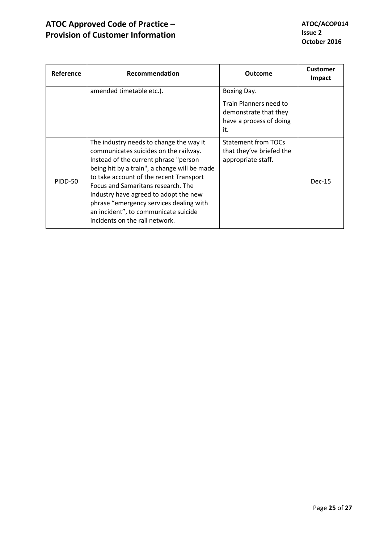| <b>Reference</b> | <b>Recommendation</b>                                                                                                                                                                                                                                                                                                                                                                                                    | <b>Outcome</b>                                                                                   | <b>Customer</b><br>Impact |
|------------------|--------------------------------------------------------------------------------------------------------------------------------------------------------------------------------------------------------------------------------------------------------------------------------------------------------------------------------------------------------------------------------------------------------------------------|--------------------------------------------------------------------------------------------------|---------------------------|
|                  | amended timetable etc.).                                                                                                                                                                                                                                                                                                                                                                                                 | Boxing Day.<br>Train Planners need to<br>demonstrate that they<br>have a process of doing<br>it. |                           |
| <b>PIDD-50</b>   | The industry needs to change the way it<br>communicates suicides on the railway.<br>Instead of the current phrase "person<br>being hit by a train", a change will be made<br>to take account of the recent Transport<br>Focus and Samaritans research. The<br>Industry have agreed to adopt the new<br>phrase "emergency services dealing with<br>an incident", to communicate suicide<br>incidents on the rail network. | Statement from TOCs<br>that they've briefed the<br>appropriate staff.                            | Dec-15                    |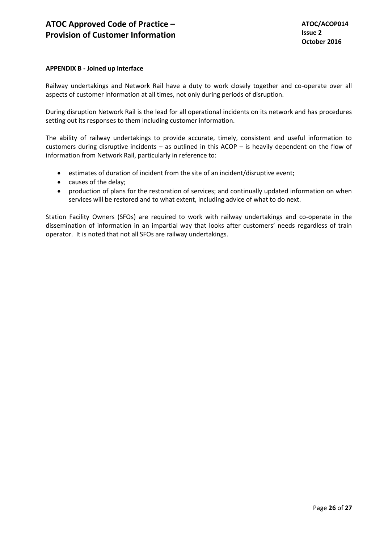# **APPENDIX B - Joined up interface**

Railway undertakings and Network Rail have a duty to work closely together and co-operate over all aspects of customer information at all times, not only during periods of disruption.

During disruption Network Rail is the lead for all operational incidents on its network and has procedures setting out its responses to them including customer information.

The ability of railway undertakings to provide accurate, timely, consistent and useful information to customers during disruptive incidents – as outlined in this ACOP – is heavily dependent on the flow of information from Network Rail, particularly in reference to:

- estimates of duration of incident from the site of an incident/disruptive event;
- causes of the delay;
- production of plans for the restoration of services; and continually updated information on when services will be restored and to what extent, including advice of what to do next.

Station Facility Owners (SFOs) are required to work with railway undertakings and co-operate in the dissemination of information in an impartial way that looks after customers' needs regardless of train operator. It is noted that not all SFOs are railway undertakings.